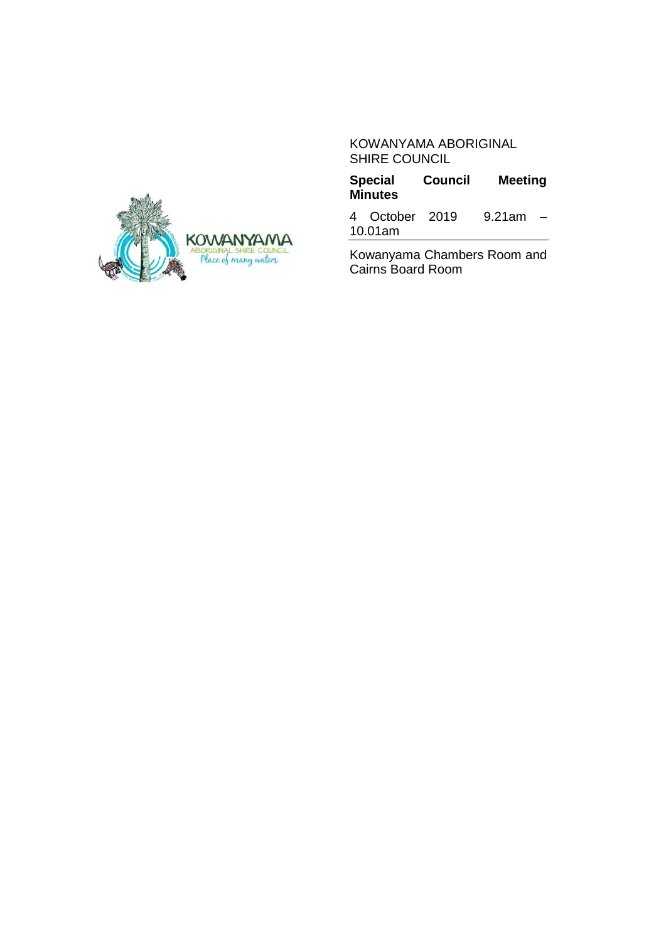#### KOWANYAMA ABORIGINAL SHIRE COUNCIL

**Council Meeting Minutes**

4 October 2019 9.21am – 10.01am

Kowanyama Chambers Room and Cairns Board Room

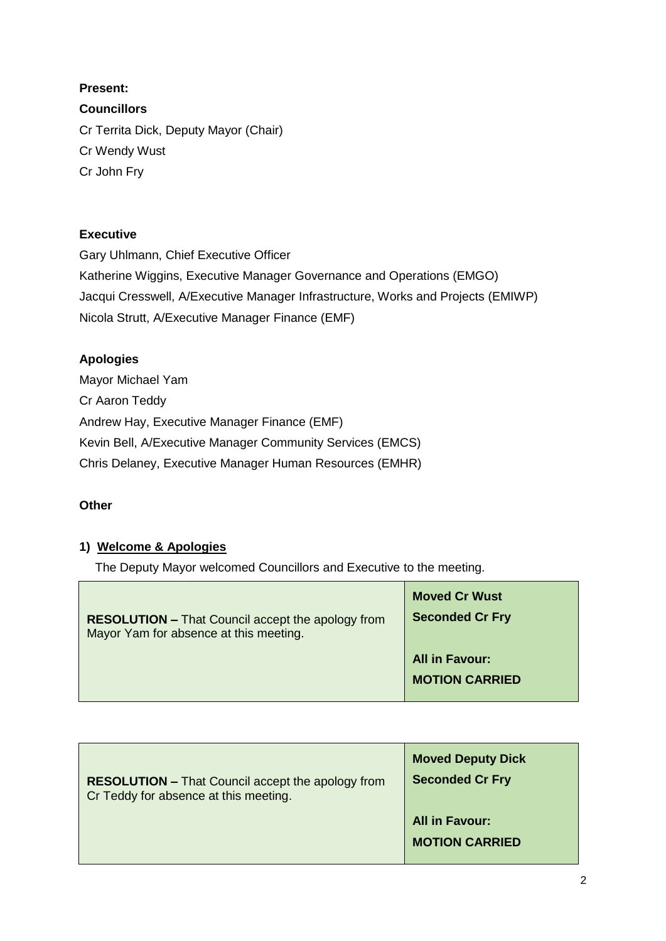**Present: Councillors** Cr Territa Dick, Deputy Mayor (Chair) Cr Wendy Wust Cr John Fry

### **Executive**

Gary Uhlmann, Chief Executive Officer Katherine Wiggins, Executive Manager Governance and Operations (EMGO) Jacqui Cresswell, A/Executive Manager Infrastructure, Works and Projects (EMIWP) Nicola Strutt, A/Executive Manager Finance (EMF)

## **Apologies**

Mayor Michael Yam Cr Aaron Teddy Andrew Hay, Executive Manager Finance (EMF) Kevin Bell, A/Executive Manager Community Services (EMCS) Chris Delaney, Executive Manager Human Resources (EMHR)

### **Other**

### **1) Welcome & Apologies**

The Deputy Mayor welcomed Councillors and Executive to the meeting.

| <b>RESOLUTION – That Council accept the apology from</b><br>Mayor Yam for absence at this meeting. | <b>Moved Cr Wust</b><br><b>Seconded Cr Fry</b> |
|----------------------------------------------------------------------------------------------------|------------------------------------------------|
|                                                                                                    | <b>All in Favour:</b>                          |
|                                                                                                    | <b>MOTION CARRIED</b>                          |
|                                                                                                    |                                                |

| <b>RESOLUTION - That Council accept the apology from</b> | <b>Moved Deputy Dick</b>                       |
|----------------------------------------------------------|------------------------------------------------|
| Cr Teddy for absence at this meeting.                    | <b>Seconded Cr Fry</b>                         |
|                                                          | <b>All in Favour:</b><br><b>MOTION CARRIED</b> |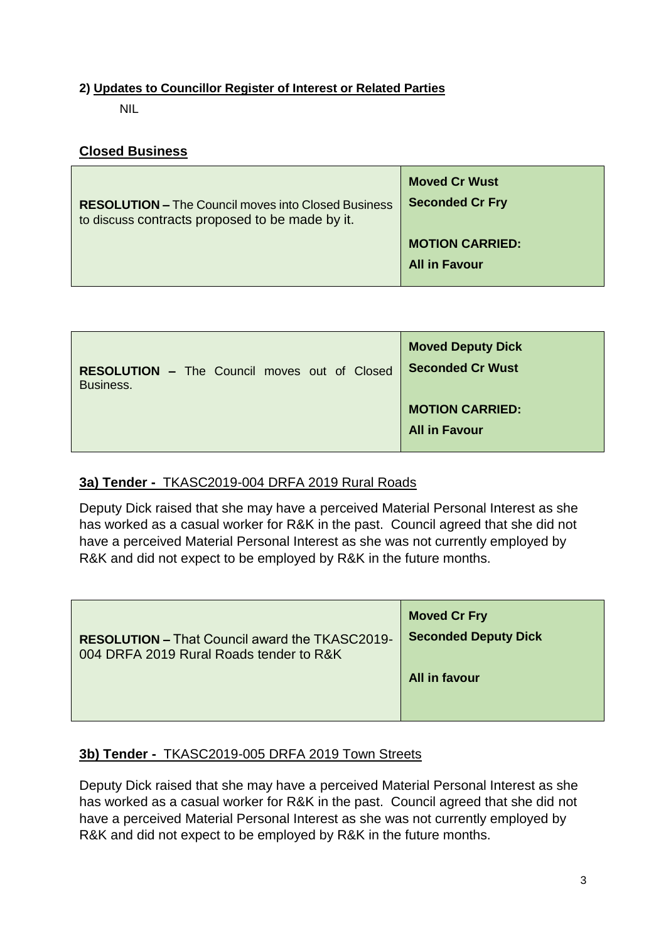### **2) Updates to Councillor Register of Interest or Related Parties**

NIL

## **Closed Business**

| <b>RESOLUTION – The Council moves into Closed Business</b> | <b>Moved Cr Wust</b>                           |
|------------------------------------------------------------|------------------------------------------------|
| to discuss contracts proposed to be made by it.            | <b>Seconded Cr Fry</b>                         |
|                                                            | <b>MOTION CARRIED:</b><br><b>All in Favour</b> |

| <b>RESOLUTION - The Council moves out of Closed</b> | <b>Moved Deputy Dick</b>                       |
|-----------------------------------------------------|------------------------------------------------|
| Business.                                           | <b>Seconded Cr Wust</b>                        |
|                                                     | <b>MOTION CARRIED:</b><br><b>All in Favour</b> |

## **3a) Tender -** TKASC2019-004 DRFA 2019 Rural Roads

Deputy Dick raised that she may have a perceived Material Personal Interest as she has worked as a casual worker for R&K in the past. Council agreed that she did not have a perceived Material Personal Interest as she was not currently employed by R&K and did not expect to be employed by R&K in the future months.

| <b>RESOLUTION - That Council award the TKASC2019-</b> | <b>Moved Cr Fry</b>         |
|-------------------------------------------------------|-----------------------------|
| 004 DRFA 2019 Rural Roads tender to R&K               | <b>Seconded Deputy Dick</b> |
|                                                       | <b>All in favour</b>        |

# **3b) Tender -** TKASC2019-005 DRFA 2019 Town Streets

Deputy Dick raised that she may have a perceived Material Personal Interest as she has worked as a casual worker for R&K in the past. Council agreed that she did not have a perceived Material Personal Interest as she was not currently employed by R&K and did not expect to be employed by R&K in the future months.